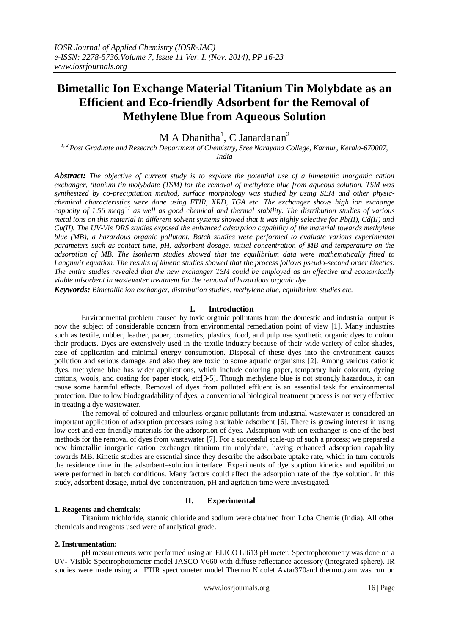# **Bimetallic Ion Exchange Material Titanium Tin Molybdate as an Efficient and Eco-friendly Adsorbent for the Removal of Methylene Blue from Aqueous Solution**

M A Dhanitha<sup>1</sup>, C Janardanan<sup>2</sup>

*1, 2 Post Graduate and Research Department of Chemistry, Sree Narayana College, Kannur, Kerala-670007, India*

*Abstract: The objective of current study is to explore the potential use of a bimetallic inorganic cation exchanger, titanium tin molybdate (TSM) for the removal of methylene blue from aqueous solution. TSM was synthesized by co-precipitation method, surface morphology was studied by using SEM and other physicchemical characteristics were done using FTIR, XRD, TGA etc. The exchanger shows high ion exchange capacity of 1.56 meqg−1 as well as good chemical and thermal stability. The distribution studies of various metal ions on this material in different solvent systems showed that it was highly selective for Pb(II), Cd(II) and Cu(II). The UV-Vis DRS studies exposed the enhanced adsorption capability of the material towards methylene blue (MB), a hazardous organic pollutant. Batch studies were performed to evaluate various experimental parameters such as contact time, pH, adsorbent dosage, initial concentration of MB and temperature on the adsorption of MB. The isotherm studies showed that the equilibrium data were mathematically fitted to Langmuir equation. The results of kinetic studies showed that the process follows pseudo-second order kinetics. The entire studies revealed that the new exchanger TSM could be employed as an effective and economically viable adsorbent in wastewater treatment for the removal of hazardous organic dye.*

*Keywords: Bimetallic ion exchanger, distribution studies, methylene blue, equilibrium studies etc.*

# **I. Introduction**

Environmental problem caused by toxic organic pollutants from the domestic and industrial output is now the subject of considerable concern from environmental remediation point of view [1]. Many industries such as textile, rubber, leather, paper, cosmetics, plastics, food, and pulp use synthetic organic dyes to colour their products. Dyes are extensively used in the textile industry because of their wide variety of color shades, ease of application and minimal energy consumption. Disposal of these dyes into the environment causes pollution and serious damage, and also they are toxic to some aquatic organisms [2]. Among various cationic dyes, methylene blue has wider applications, which include coloring paper, temporary hair colorant, dyeing cottons, wools, and coating for paper stock, etc[3-5]. Though methylene blue is not strongly hazardous, it can cause some harmful effects. Removal of dyes from polluted effluent is an essential task for environmental protection. Due to low biodegradability of dyes, a conventional biological treatment process is not very effective in treating a dye wastewater.

The removal of coloured and colourless organic pollutants from industrial wastewater is considered an important application of adsorption processes using a suitable adsorbent [6]. There is growing interest in using low cost and eco-friendly materials for the adsorption of dyes. Adsorption with ion exchanger is one of the best methods for the removal of dyes from wastewater [7]. For a successful scale-up of such a process; we prepared a new bimetallic inorganic cation exchanger titanium tin molybdate, having enhanced adsorption capability towards MB. Kinetic studies are essential since they describe the adsorbate uptake rate, which in turn controls the residence time in the adsorbent–solution interface. Experiments of dye sorption kinetics and equilibrium were performed in batch conditions. Many factors could affect the adsorption rate of the dye solution. In this study, adsorbent dosage, initial dye concentration, pH and agitation time were investigated.

# **II. Experimental**

# **1. Reagents and chemicals:**

Titanium trichloride, stannic chloride and sodium were obtained from Loba Chemie (India). All other chemicals and reagents used were of analytical grade.

# **2. Instrumentation:**

pH measurements were performed using an ELICO LI613 pH meter. Spectrophotometry was done on a UV- Visible Spectrophotometer model JASCO V660 with diffuse reflectance accessory (integrated sphere). IR studies were made using an FTIR spectrometer model Thermo Nicolet Avtar370and thermogram was run on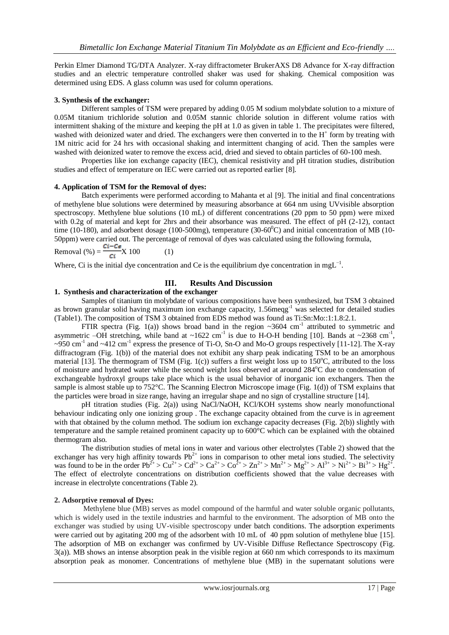Perkin Elmer Diamond TG/DTA Analyzer. X-ray diffractometer BrukerAXS D8 Advance for X-ray diffraction studies and an electric temperature controlled shaker was used for shaking. Chemical composition was determined using EDS. A glass column was used for column operations.

### **3. Synthesis of the exchanger:**

Different samples of TSM were prepared by adding 0.05 M sodium molybdate solution to a mixture of 0.05M titanium trichloride solution and 0.05M stannic chloride solution in different volume ratios with intermittent shaking of the mixture and keeping the pH at 1.0 as given in table 1. The precipitates were filtered, washed with deionized water and dried. The exchangers were then converted in to the H<sup>+</sup> form by treating with 1M nitric acid for 24 hrs with occasional shaking and intermittent changing of acid. Then the samples were washed with deionized water to remove the excess acid, dried and sieved to obtain particles of 60-100 mesh.

Properties like ion exchange capacity (IEC), chemical resistivity and pH titration studies, distribution studies and effect of temperature on IEC were carried out as reported earlier [8].

#### **4. Application of TSM for the Removal of dyes:**

Batch experiments were performed according to Mahanta et al [9]. The initial and final concentrations of methylene blue solutions were determined by measuring absorbance at 664 nm using UVvisible absorption spectroscopy. Methylene blue solutions (10 mL) of different concentrations (20 ppm to 50 ppm) were mixed with 0.2g of material and kept for 2hrs and their absorbance was measured. The effect of pH (2-12), contact time (10-180), and adsorbent dosage (100-500mg), temperature (30-60 $^{\circ}$ C) and initial concentration of MB (10-50ppm) were carried out. The percentage of removal of dyes was calculated using the following formula,

Removal (%) =  $\frac{Ci - Cs}{Ci}$ X 100 (1)

Where, Ci is the initial dye concentration and Ce is the equilibrium dye concentration in mgL<sup>-1</sup>.

# **III. Results And Discussion**

# **1. Synthesis and characterization of the exchanger**

Samples of titanium tin molybdate of various compositions have been synthesized, but TSM 3 obtained as brown granular solid having maximum ion exchange capacity, 1.56meqg-1 was selected for detailed studies (Table1). The composition of TSM 3 obtained from EDS method was found as Ti:Sn:Mo::1:1.8:2.1.

FTIR spectra (Fig. 1(a)) shows broad band in the region  $\sim$ 3604 cm<sup>-1</sup> attributed to symmetric and asymmetric -OH stretching, while band at  $\sim 1622$  cm<sup>-1</sup> is due to H-O-H bending [10]. Bands at  $\sim 2368$  cm<sup>-1</sup>,  $\sim$ 950 cm<sup>-1</sup> and  $\sim$ 412 cm<sup>-1</sup> express the presence of Ti-O, Sn-O and Mo-O groups respectively [11-12]. The X-ray diffractogram (Fig. 1(b)) of the material does not exhibit any sharp peak indicating TSM to be an amorphous material [13]. The thermogram of TSM (Fig. 1(c)) suffers a first weight loss up to  $150^{\circ}$ C, attributed to the loss of moisture and hydrated water while the second weight loss observed at around 284<sup>o</sup>C due to condensation of exchangeable hydroxyl groups take place which is the usual behavior of inorganic ion exchangers. Then the sample is almost stable up to 752°C. The Scanning Electron Microscope image (Fig. 1(d)) of TSM explains that the particles were broad in size range, having an irregular shape and no sign of crystalline structure [14].

pH titration studies (Fig. 2(a)) using NaCl/NaOH, KCl/KOH systems show nearly monofunctional behaviour indicating only one ionizing group . The exchange capacity obtained from the curve is in agreement with that obtained by the column method. The sodium ion exchange capacity decreases (Fig. 2(b)) slightly with temperature and the sample retained prominent capacity up to 600°C which can be explained with the obtained thermogram also.

The distribution studies of metal ions in water and various other electrolytes (Table 2) showed that the exchanger has very high affinity towards  $Pb^{2+}$  ions in comparison to other metal ions studied. The selectivity was found to be in the order  $Pb^{2+} > Cu^{2+} > Cu^{2+} > Cu^{2+} > Cu^{2+} > Cu^{2+} > Au^{2+} > Mu^{2+} > Mg^{2+} > Au^{3+} > Nu^{2+} > Bi^{3+} > Hg^{2+}$ . The effect of electrolyte concentrations on distribution coefficients showed that the value decreases with increase in electrolyte concentrations (Table 2).

# **2. Adsorptive removal of Dyes:**

Methylene blue (MB) serves as model compound of the harmful and water soluble organic pollutants, which is widely used in the textile industries and harmful to the environment. The adsorption of MB onto the exchanger was studied by using UV-visible spectroscopy under batch conditions. The adsorption experiments were carried out by agitating 200 mg of the adsorbent with 10 mL of 40 ppm solution of methylene blue [15]. The adsorption of MB on exchanger was confirmed by UV-Visible Diffuse Reflectance Spectroscopy (Fig. 3(a)). MB shows an intense absorption peak in the visible region at 660 nm which corresponds to its maximum absorption peak as monomer. Concentrations of methylene blue (MB) in the supernatant solutions were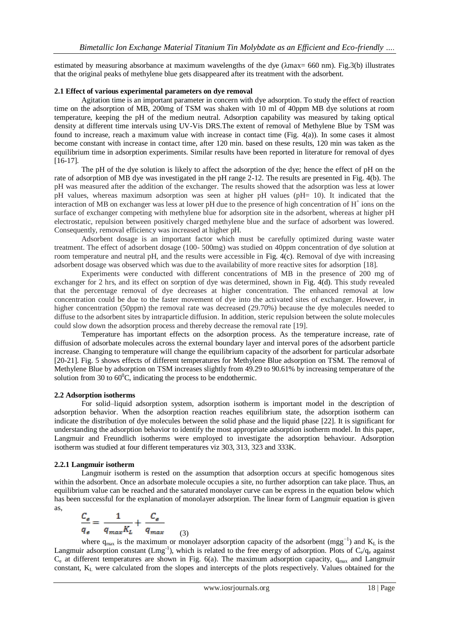estimated by measuring absorbance at maximum wavelengths of the dye (λmax= 660 nm). Fig.3(b) illustrates that the original peaks of methylene blue gets disappeared after its treatment with the adsorbent.

#### **2.1 Effect of various experimental parameters on dye removal**

Agitation time is an important parameter in concern with dye adsorption. To study the effect of reaction time on the adsorption of MB, 200mg of TSM was shaken with 10 ml of 40ppm MB dye solutions at room temperature, keeping the pH of the medium neutral. Adsorption capability was measured by taking optical density at different time intervals using UV-Vis DRS.The extent of removal of Methylene Blue by TSM was found to increase, reach a maximum value with increase in contact time (Fig. 4(a)). In some cases it almost become constant with increase in contact time, after 120 min. based on these results, 120 min was taken as the equilibrium time in adsorption experiments. Similar results have been reported in literature for removal of dyes [16-17].

The pH of the dye solution is likely to affect the adsorption of the dye; hence the effect of pH on the rate of adsorption of MB dye was investigated in the pH range 2-12. The results are presented in Fig. 4(b). The pH was measured after the addition of the exchanger. The results showed that the adsorption was less at lower pH values, whereas maximum adsorption was seen at higher pH values (pH= 10). It indicated that the interaction of MB on exchanger was less at lower pH due to the presence of high concentration of  $H^+$  ions on the surface of exchanger competing with methylene blue for adsorption site in the adsorbent, whereas at higher pH electrostatic, repulsion between positively charged methylene blue and the surface of adsorbent was lowered. Consequently, removal efficiency was increased at higher pH.

Adsorbent dosage is an important factor which must be carefully optimized during waste water treatment. The effect of adsorbent dosage (100- 500mg) was studied on 40ppm concentration of dye solution at room temperature and neutral pH, and the results were accessible in Fig. 4(c). Removal of dye with increasing adsorbent dosage was observed which was due to the availability of more reactive sites for adsorption [18].

Experiments were conducted with different concentrations of MB in the presence of 200 mg of exchanger for 2 hrs, and its effect on sorption of dye was determined, shown in Fig. 4(d). This study revealed that the percentage removal of dye decreases at higher concentration. The enhanced removal at low concentration could be due to the faster movement of dye into the activated sites of exchanger. However, in higher concentration (50ppm) the removal rate was decreased (29.70%) because the dye molecules needed to diffuse to the adsorbent sites by intraparticle diffusion. In addition, steric repulsion between the solute molecules could slow down the adsorption process and thereby decrease the removal rate [19].

Temperature has important effects on the adsorption process. As the temperature increase, rate of diffusion of adsorbate molecules across the external boundary layer and interval pores of the adsorbent particle increase. Changing to temperature will change the equilibrium capacity of the adsorbent for particular adsorbate [20-21]. Fig. 5 shows effects of different temperatures for Methylene Blue adsorption on TSM. The removal of Methylene Blue by adsorption on TSM increases slightly from 49.29 to 90.61% by increasing temperature of the solution from 30 to  $60^{\circ}$ C, indicating the process to be endothermic.

#### **2.2 Adsorption isotherms**

For solid–liquid adsorption system, adsorption isotherm is important model in the description of adsorption behavior. When the adsorption reaction reaches equilibrium state, the adsorption isotherm can indicate the distribution of dye molecules between the solid phase and the liquid phase [22]. It is significant for understanding the adsorption behavior to identify the most appropriate adsorption isotherm model. In this paper, Langmuir and Freundlich isotherms were employed to investigate the adsorption behaviour. Adsorption isotherm was studied at four different temperatures viz 303, 313, 323 and 333K.

#### **2.2.1 Langmuir isotherm**

Langmuir isotherm is rested on the assumption that adsorption occurs at specific homogenous sites within the adsorbent. Once an adsorbate molecule occupies a site, no further adsorption can take place. Thus, an equilibrium value can be reached and the saturated monolayer curve can be express in the equation below which has been successful for the explanation of monolayer adsorption. The linear form of Langmuir equation is given as,

$$
\frac{C_s}{q_s} = \frac{1}{q_{max}K_L} + \frac{C_s}{q_{max}}
$$

where  $q_{max}$  is the maximum or monolayer adsorption capacity of the adsorbent (mgg<sup>-1</sup>) and K<sub>L</sub> is the Langmuir adsorption constant  $(Lmg^{-1})$ , which is related to the free energy of adsorption. Plots of  $C_e/q_e$  against  $C_e$  at different temperatures are shown in Fig. 6(a). The maximum adsorption capacity,  $q_{max}$  and Langmuir constant, K<sup>L</sup> were calculated from the slopes and intercepts of the plots respectively. Values obtained for the

(3)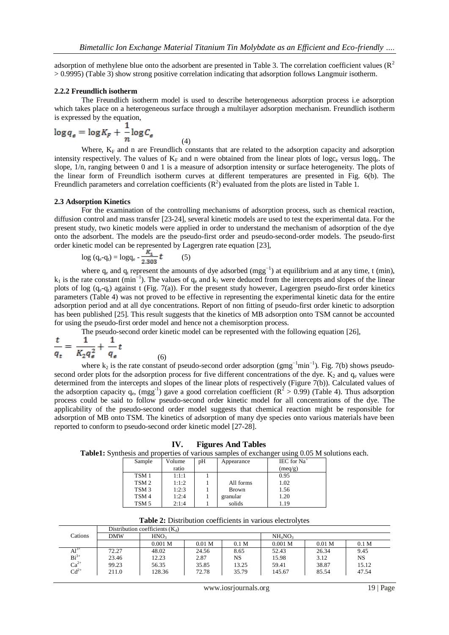adsorption of methylene blue onto the adsorbent are presented in Table 3. The correlation coefficient values ( $\mathbb{R}^2$ ) > 0.9995) (Table 3) show strong positive correlation indicating that adsorption follows Langmuir isotherm.

#### **2.2.2 Freundlich isotherm**

The Freundlich isotherm model is used to describe heterogeneous adsorption process i.e adsorption which takes place on a heterogeneous surface through a multilayer adsorption mechanism. Freundlich isotherm is expressed by the equation,

$$
\log q_{\epsilon} = \log K_F + \frac{1}{n} \log C_{\epsilon}
$$
 (4)

Where,  $K_F$  and n are Freundlich constants that are related to the adsorption capacity and adsorption intensity respectively. The values of  $K_F$  and n were obtained from the linear plots of logc<sub>e</sub> versus logq<sub>e</sub>. The slope, 1/n, ranging between 0 and 1 is a measure of adsorption intensity or surface heterogeneity. The plots of the linear form of Freundlich isotherm curves at different temperatures are presented in Fig. 6(b). The Freundlich parameters and correlation coefficients  $(R^2)$  evaluated from the plots are listed in Table 1.

#### **2.3 Adsorption Kinetics**

For the examination of the controlling mechanisms of adsorption process, such as chemical reaction, diffusion control and mass transfer [23-24], several kinetic models are used to test the experimental data. For the present study, two kinetic models were applied in order to understand the mechanism of adsorption of the dye onto the adsorbent. The models are the pseudo-first order and pseudo-second-order models. The pseudo-first order kinetic model can be represented by Lagergren rate equation [23],

$$
\log (q_e - q_t) = \log q_e - \frac{R_1}{2.303} t \tag{5}
$$

(6)

where  $q_e$  and  $q_t$  represent the amounts of dye adsorbed (mgg<sup>-1</sup>) at equilibrium and at any time, t (min),  $k_1$  is the rate constant (min<sup>-1</sup>). The values of  $q_e$  and  $k_1$  were deduced from the intercepts and slopes of the linear plots of log  $(q_e-q_t)$  against t (Fig. 7(a)). For the present study however, Lagergren pseudo-first order kinetics parameters (Table 4) was not proved to be effective in representing the experimental kinetic data for the entire adsorption period and at all dye concentrations. Report of non fitting of pseudo-first order kinetic to adsorption has been published [25]. This result suggests that the kinetics of MB adsorption onto TSM cannot be accounted for using the pseudo-first order model and hence not a chemisorption process.

The pseudo-second order kinetic model can be represented with the following equation [26],

$$
\frac{t}{q_t} = \frac{1}{K_2 q_e^2} + \frac{1}{q_e} t
$$

where  $k_2$  is the rate constant of pseudo-second order adsorption (gmg<sup>-1</sup>min<sup>-1</sup>). Fig. 7(b) shows pseudosecond order plots for the adsorption process for five different concentrations of the dye.  $K_2$  and  $q_e$  values were determined from the intercepts and slopes of the linear plots of respectively (Figure 7(b)). Calculated values of the adsorption capacity  $q_e$ , (mgg<sup>-1</sup>) gave a good correlation coefficient ( $R^2 > 0.99$ ) (Table 4). Thus adsorption process could be said to follow pseudo-second order kinetic model for all concentrations of the dye. The applicability of the pseudo-second order model suggests that chemical reaction might be responsible for adsorption of MB onto TSM. The kinetics of adsorption of many dye species onto various materials have been reported to conform to pseudo-second order kinetic model [27-28].

**IV. Figures And Tables**

**Table1:** Synthesis and properties of various samples of exchanger using 0.05 M solutions each.

| Sample           | Volume | pН | Appearance   | IEC for $Na+$ |
|------------------|--------|----|--------------|---------------|
|                  | ratio  |    |              | (meq/g)       |
| TSM 1            | 1:1:1  |    |              | 0.95          |
| TSM <sub>2</sub> | 1:1:2  |    | All forms    | 1.02          |
| TSM <sub>3</sub> | 1:2:3  |    | <b>Brown</b> | 1.56          |
| TSM 4            | 1:2:4  |    | granular     | 1.20          |
| TSM 5            | 2:1:4  |    | solids       | 1.19          |

**Table 2:** Distribution coefficients in various electrolytes

|           | Distribution coefficients $(K_d)$ |                  |                   |                  |                                 |                   |                  |  |  |  |
|-----------|-----------------------------------|------------------|-------------------|------------------|---------------------------------|-------------------|------------------|--|--|--|
| Cations   | <b>DMW</b>                        | HNO <sub>3</sub> |                   |                  | NH <sub>4</sub> NO <sub>3</sub> |                   |                  |  |  |  |
|           |                                   | 0.001 M          | 0.01 <sub>M</sub> | 0.1 <sub>M</sub> | $0.001$ M                       | 0.01 <sub>M</sub> | 0.1 <sub>M</sub> |  |  |  |
| $Al^{5+}$ | 72.27                             | 48.02            | 24.56             | 8.65             | 52.43                           | 26.34             | 9.45             |  |  |  |
| $Bi3+$    | 23.46                             | 12.23            | 2.87              | NS               | 15.98                           | 3.12              | <b>NS</b>        |  |  |  |
| $Ca2+$    | 99.23                             | 56.35            | 35.85             | 13.25            | 59.41                           | 38.87             | 15.12            |  |  |  |
| $Cd^{2+}$ | 211.0                             | 128.36           | 72.78             | 35.79            | 145.67                          | 85.54             | 47.54            |  |  |  |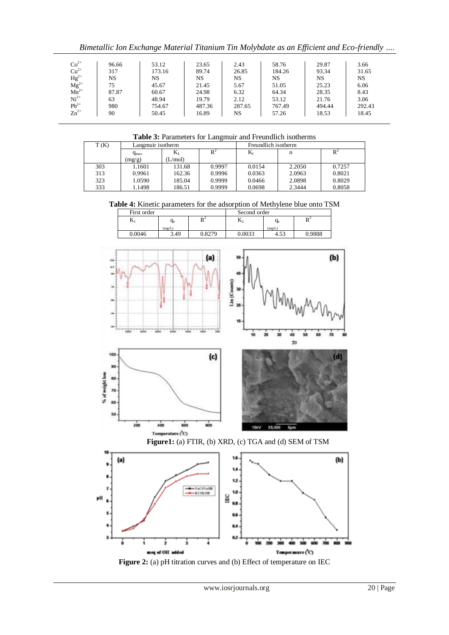*Bimetallic Ion Exchange Material Titanium Tin Molybdate as an Efficient and Eco-friendly ….*

|                                                   | 96.66 | 53.12  | 23.65  | 2.43   | 58.76  | 29.87  | 3.66   |
|---------------------------------------------------|-------|--------|--------|--------|--------|--------|--------|
| $\text{Co}^{2+}_{2+}$                             | 317   | 173.16 | 89.74  | 26.85  | 184.26 | 93.34  | 31.65  |
|                                                   | NS    | NS     | NS     | NS     | NS     | NS     | NS     |
| $Hg^{2+}$<br>Mg <sup>2+</sup><br>Mn <sup>2+</sup> | 75    | 45.67  | 21.45  | 5.67   | 51.05  | 25.23  | 6.06   |
|                                                   | 87.87 | 60.67  | 24.98  | 6.32   | 64.34  | 28.35  | 8.43   |
| $Ni2+$                                            | 63    | 48.94  | 19.79  | 2.12   | 53.12  | 21.76  | 3.06   |
| $Pb^{2+}$<br>Zn <sup>2+</sup>                     | 980   | 754.67 | 487.36 | 287.65 | 767.49 | 494.44 | 292.43 |
|                                                   | 90    | 50.45  | 16.89  | NS     | 57.26  | 18.53  | 18.45  |

**Table 3:** Parameters for Langmuir and Freundlich isotherms

| T(K) | Langmuir isotherm |         |        | Freundlich isotherm |        |        |  |
|------|-------------------|---------|--------|---------------------|--------|--------|--|
|      | $q_{max}$         | $K_{L}$ | $R^2$  | $\rm K_f$           |        |        |  |
|      | (mg/g)            | L/mol   |        |                     |        |        |  |
| 303  | 1601.             | 131.68  | 0.9997 | 0.0154              | 2.2050 | 0.7257 |  |
| 313  | 0.9961            | 162.36  | 0.9996 | 0.0363              | 2.0963 | 0.8021 |  |
| 323  | 1.0590            | 185.04  | 0.9999 | 0.0466              | 2.0898 | 0.8029 |  |
| 333  | 1.1498            | 186.51  | 0.9999 | 0.0698              | 2.3444 | 0.8058 |  |

**Table 4:** Kinetic parameters for the adsorption of Methylene blue onto TSM

| First order  |        |          | Second order   |        |                     |  |
|--------------|--------|----------|----------------|--------|---------------------|--|
| $\mathbf{v}$ | $q_e$  | D.<br>17 | $\mathbf{D}_2$ | $q_e$  | D <sup>2</sup><br>v |  |
|              | (mg/L) |          |                | (mg/L) |                     |  |
| 0.0046       | 3.49   | 0.8279   | 0.0033         | 4.53   | 0.9888              |  |

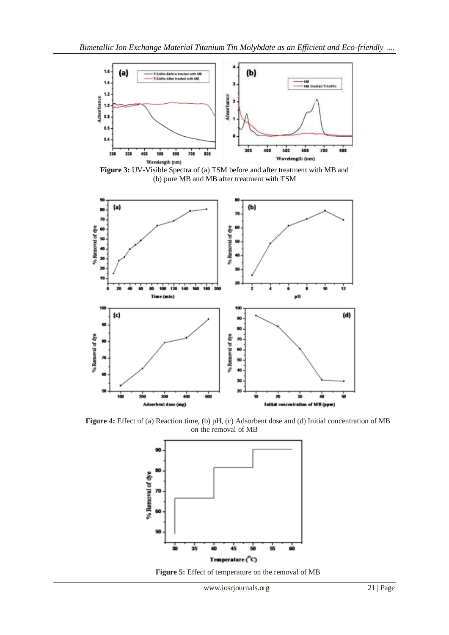

**Figure 3:** UV-Visible Spectra of (a) TSM before and after treatment with MB and (b) pure MB and MB after treatment with TSM



**Figure 4:** Effect of (a) Reaction time, (b) pH, (c) Adsorbent dose and (d) Initial concentration of MB on the removal of MB



**Figure 5:** Effect of temperature on the removal of MB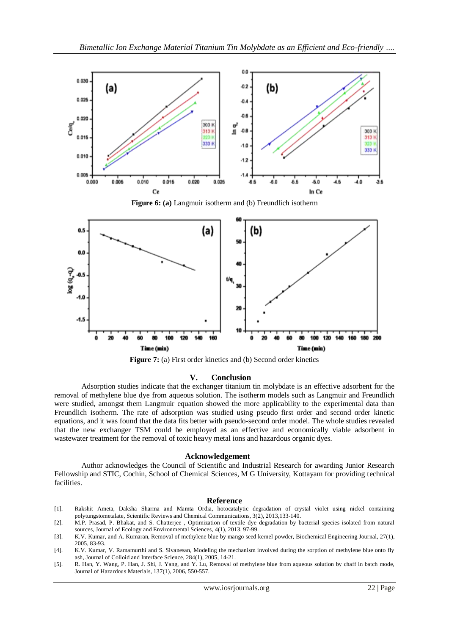

**Figure 6: (a)** Langmuir isotherm and (b) Freundlich isotherm



**Figure 7:** (a) First order kinetics and (b) Second order kinetics

### **V. Conclusion**

Adsorption studies indicate that the exchanger titanium tin molybdate is an effective adsorbent for the removal of methylene blue dye from aqueous solution. The isotherm models such as Langmuir and Freundlich were studied, amongst them Langmuir equation showed the more applicability to the experimental data than Freundlich isotherm. The rate of adsorption was studied using pseudo first order and second order kinetic equations, and it was found that the data fits better with pseudo-second order model. The whole studies revealed that the new exchanger TSM could be employed as an effective and economically viable adsorbent in wastewater treatment for the removal of toxic heavy metal ions and hazardous organic dyes.

#### **Acknowledgement**

Author acknowledges the Council of Scientific and Industrial Research for awarding Junior Research Fellowship and STIC, Cochin, School of Chemical Sciences, M G University, Kottayam for providing technical facilities.

#### **Reference**

- [1]. Rakshit Ameta, Daksha Sharma and Mamta Ordia, hotocatalytic degradation of crystal violet using nickel containing polytungstometalate, Scientific Reviews and Chemical Communications, 3(2), 2013,133-140.
- [2]. M.P. Prasad, P. Bhakat, and S. Chatterjee , Optimization of textile dye degradation by bacterial species isolated from natural sources, Journal of Ecology and Environmental Sciences, 4(1), 2013, 97-99.
- [3]. K.V. Kumar, and A. Kumaran, Removal of methylene blue by mango seed kernel powder, Biochemical Engineering Journal, 27(1), 2005, 83-93.
- [4]. K.V. Kumar, V. Ramamurthi and S. Sivanesan, Modeling the mechanism involved during the sorption of methylene blue onto fly ash, Journal of Colloid and Interface Science, 284(1), 2005, 14-21.
- [5]. R. Han, Y. Wang, P. Han, J. Shi, J. Yang, and Y. Lu, Removal of methylene blue from aqueous solution by chaff in batch mode, Journal of Hazardous Materials, 137(1), 2006, 550-557.